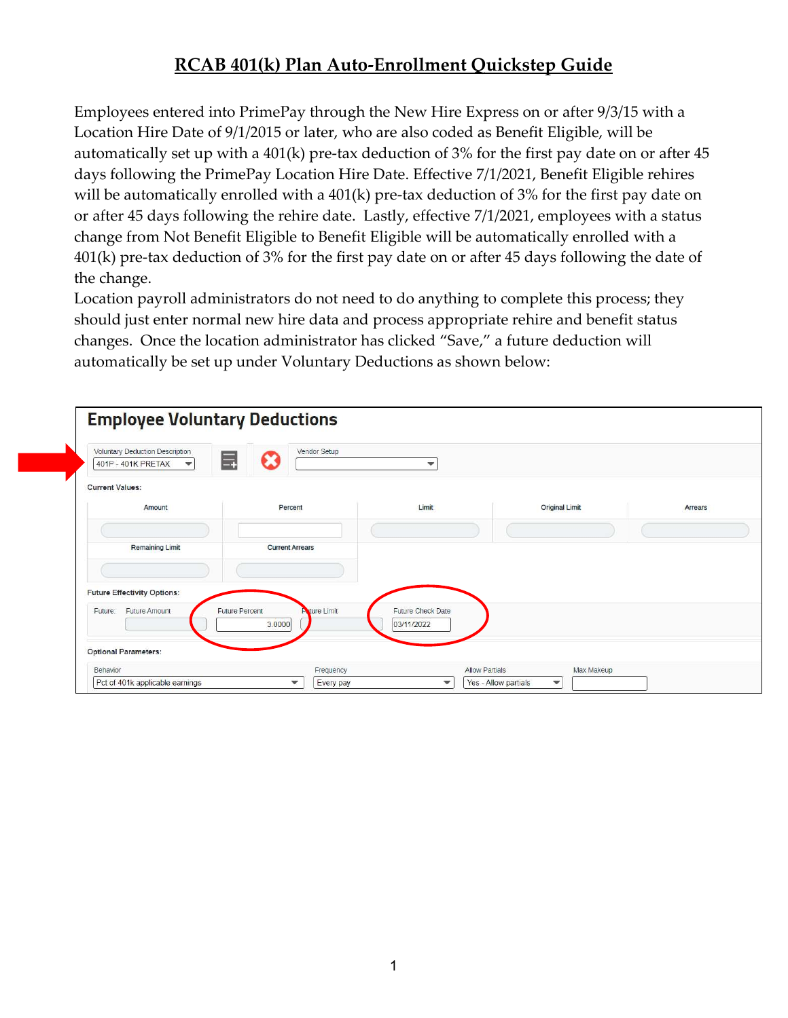## RCAB 401(k) Plan Auto-Enrollment Quickstep Guide

Employees entered into PrimePay through the New Hire Express on or after 9/3/15 with a Location Hire Date of 9/1/2015 or later, who are also coded as Benefit Eligible, will be automatically set up with a 401(k) pre-tax deduction of 3% for the first pay date on or after 45 days following the PrimePay Location Hire Date. Effective 7/1/2021, Benefit Eligible rehires will be automatically enrolled with a 401(k) pre-tax deduction of 3% for the first pay date on or after 45 days following the rehire date. Lastly, effective 7/1/2021, employees with a status change from Not Benefit Eligible to Benefit Eligible will be automatically enrolled with a 401(k) pre-tax deduction of 3% for the first pay date on or after 45 days following the date of the change.

Location payroll administrators do not need to do anything to complete this process; they should just enter normal new hire data and process appropriate rehire and benefit status changes. Once the location administrator has clicked "Save," a future deduction will automatically be set up under Voluntary Deductions as shown below:

| Voluntary Deduction Description<br>401P - 401K PRETAX<br>$\overline{\phantom{a}}$ | Vendor Setup<br>$\equiv$                               | $\mathbf{v}$                    |                       |         |
|-----------------------------------------------------------------------------------|--------------------------------------------------------|---------------------------------|-----------------------|---------|
| <b>Current Values:</b>                                                            |                                                        |                                 |                       |         |
| Amount                                                                            | Percent                                                | Limit                           | <b>Original Limit</b> | Arrears |
|                                                                                   |                                                        |                                 |                       |         |
| <b>Remaining Limit</b><br><b>Current Arrears</b>                                  |                                                        |                                 |                       |         |
|                                                                                   |                                                        |                                 |                       |         |
| <b>Future Effectivity Options:</b>                                                |                                                        |                                 |                       |         |
| Future Amount<br>Future:                                                          | <b>A</b> ture Limit<br><b>Future Percent</b><br>3.0000 | Future Check Date<br>03/11/2022 |                       |         |
|                                                                                   |                                                        |                                 |                       |         |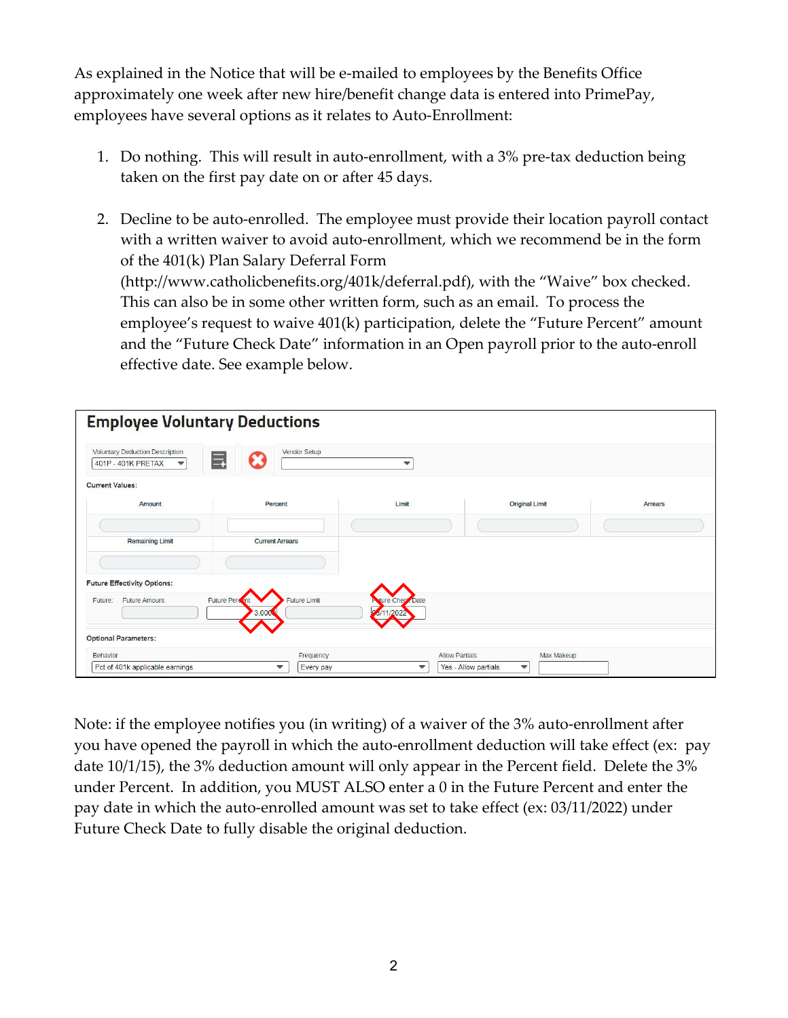As explained in the Notice that will be e-mailed to employees by the Benefits Office approximately one week after new hire/benefit change data is entered into PrimePay, employees have several options as it relates to Auto-Enrollment:

- 1. Do nothing. This will result in auto-enrollment, with a 3% pre-tax deduction being taken on the first pay date on or after 45 days.
- 2. Decline to be auto-enrolled. The employee must provide their location payroll contact with a written waiver to avoid auto-enrollment, which we recommend be in the form of the 401(k) Plan Salary Deferral Form (http://www.catholicbenefits.org/401k/deferral.pdf), with the "Waive" box checked. This can also be in some other written form, such as an email. To process the employee's request to waive 401(k) participation, delete the "Future Percent" amount and the "Future Check Date" information in an Open payroll prior to the auto-enroll effective date. See example below.

| Voluntary Deduction Description<br>401P - 401K PRETAX<br>$\mathbf{v}$ |                         | Vendor Setup           | $\mathbf{v}$             |                       |         |
|-----------------------------------------------------------------------|-------------------------|------------------------|--------------------------|-----------------------|---------|
| <b>Current Values:</b>                                                |                         |                        |                          |                       |         |
| Amount                                                                |                         | Percent                | Limit                    | <b>Original Limit</b> | Arrears |
|                                                                       |                         |                        |                          |                       |         |
| <b>Remaining Limit</b>                                                |                         | <b>Current Arrears</b> |                          |                       |         |
|                                                                       |                         |                        |                          |                       |         |
| <b>Future Effectivity Options:</b>                                    |                         |                        |                          |                       |         |
| Future Amount<br>Future:                                              | Future Persont<br>3.000 | Future Limit           | <b>Pyture Check Date</b> |                       |         |
| <b>Optional Parameters:</b>                                           |                         |                        |                          |                       |         |
| Behavior                                                              |                         | Frequency              | <b>Allow Partials</b>    | Max Makeup            |         |
|                                                                       |                         | Every pay              |                          |                       |         |

Note: if the employee notifies you (in writing) of a waiver of the 3% auto-enrollment after you have opened the payroll in which the auto-enrollment deduction will take effect (ex: pay date 10/1/15), the 3% deduction amount will only appear in the Percent field. Delete the 3% under Percent. In addition, you MUST ALSO enter a 0 in the Future Percent and enter the pay date in which the auto-enrolled amount was set to take effect (ex: 03/11/2022) under Future Check Date to fully disable the original deduction.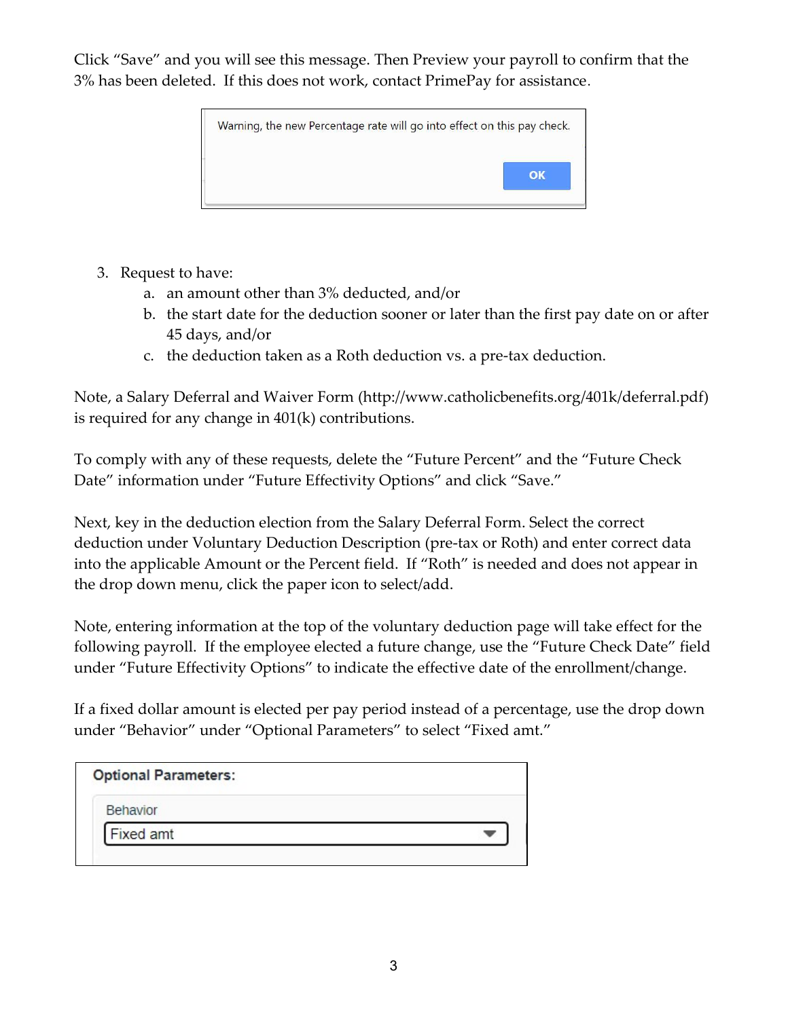Click "Save" and you will see this message. Then Preview your payroll to confirm that the 3% has been deleted. If this does not work, contact PrimePay for assistance.



- 3. Request to have:
	- a. an amount other than 3% deducted, and/or
	- b. the start date for the deduction sooner or later than the first pay date on or after 45 days, and/or
	- c. the deduction taken as a Roth deduction vs. a pre-tax deduction.

Note, a Salary Deferral and Waiver Form (http://www.catholicbenefits.org/401k/deferral.pdf) is required for any change in 401(k) contributions.

To comply with any of these requests, delete the "Future Percent" and the "Future Check Date" information under "Future Effectivity Options" and click "Save."

Next, key in the deduction election from the Salary Deferral Form. Select the correct deduction under Voluntary Deduction Description (pre-tax or Roth) and enter correct data into the applicable Amount or the Percent field. If "Roth" is needed and does not appear in the drop down menu, click the paper icon to select/add.

Note, entering information at the top of the voluntary deduction page will take effect for the following payroll. If the employee elected a future change, use the "Future Check Date" field under "Future Effectivity Options" to indicate the effective date of the enrollment/change.

If a fixed dollar amount is elected per pay period instead of a percentage, use the drop down under "Behavior" under "Optional Parameters" to select "Fixed amt."

| <b>Optional Parameters:</b> |  |
|-----------------------------|--|
| <b>Behavior</b>             |  |
| Fixed amt                   |  |